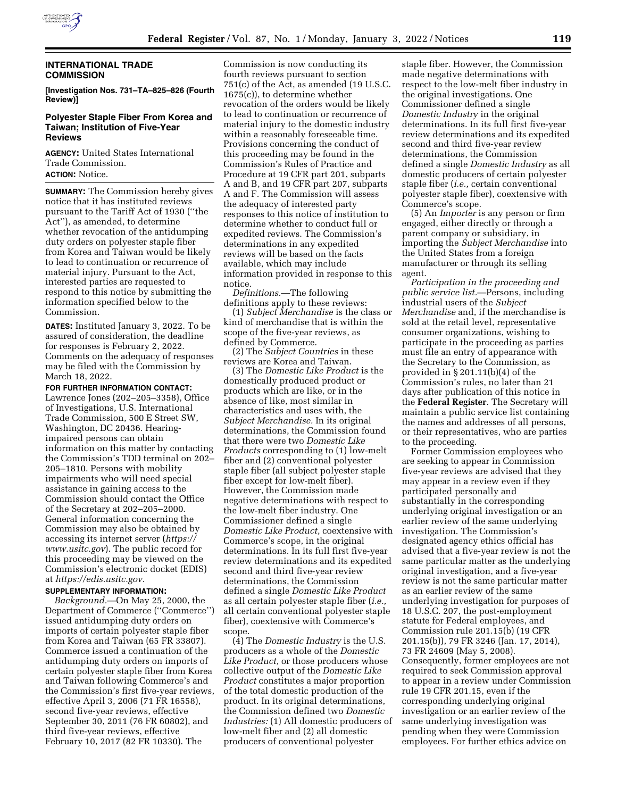

## **INTERNATIONAL TRADE COMMISSION**

**[Investigation Nos. 731–TA–825–826 (Fourth Review)]** 

### **Polyester Staple Fiber From Korea and Taiwan; Institution of Five-Year Reviews**

**AGENCY:** United States International Trade Commission. **ACTION:** Notice.

**SUMMARY:** The Commission hereby gives notice that it has instituted reviews pursuant to the Tariff Act of 1930 (''the Act''), as amended, to determine whether revocation of the antidumping duty orders on polyester staple fiber from Korea and Taiwan would be likely to lead to continuation or recurrence of material injury. Pursuant to the Act, interested parties are requested to respond to this notice by submitting the information specified below to the Commission.

**DATES:** Instituted January 3, 2022. To be assured of consideration, the deadline for responses is February 2, 2022. Comments on the adequacy of responses may be filed with the Commission by March 18, 2022.

### **FOR FURTHER INFORMATION CONTACT:**

Lawrence Jones (202–205–3358), Office of Investigations, U.S. International Trade Commission, 500 E Street SW, Washington, DC 20436. Hearingimpaired persons can obtain information on this matter by contacting the Commission's TDD terminal on 202– 205–1810. Persons with mobility impairments who will need special assistance in gaining access to the Commission should contact the Office of the Secretary at 202–205–2000. General information concerning the Commission may also be obtained by accessing its internet server (*https:// www.usitc.gov*). The public record for this proceeding may be viewed on the Commission's electronic docket (EDIS) at *https://edis.usitc.gov.* 

## **SUPPLEMENTARY INFORMATION:**

*Background.*—On May 25, 2000, the Department of Commerce (''Commerce'') issued antidumping duty orders on imports of certain polyester staple fiber from Korea and Taiwan (65 FR 33807). Commerce issued a continuation of the antidumping duty orders on imports of certain polyester staple fiber from Korea and Taiwan following Commerce's and the Commission's first five-year reviews, effective April 3, 2006 (71 FR 16558), second five-year reviews, effective September 30, 2011 (76 FR 60802), and third five-year reviews, effective February 10, 2017 (82 FR 10330). The

Commission is now conducting its fourth reviews pursuant to section 751(c) of the Act, as amended (19 U.S.C. 1675(c)), to determine whether revocation of the orders would be likely to lead to continuation or recurrence of material injury to the domestic industry within a reasonably foreseeable time. Provisions concerning the conduct of this proceeding may be found in the Commission's Rules of Practice and Procedure at 19 CFR part 201, subparts A and B, and 19 CFR part 207, subparts A and F. The Commission will assess the adequacy of interested party responses to this notice of institution to determine whether to conduct full or expedited reviews. The Commission's determinations in any expedited reviews will be based on the facts available, which may include information provided in response to this notice.

*Definitions.*—The following definitions apply to these reviews:

(1) *Subject Merchandise* is the class or kind of merchandise that is within the scope of the five-year reviews, as defined by Commerce.

(2) The *Subject Countries* in these reviews are Korea and Taiwan.

(3) The *Domestic Like Product* is the domestically produced product or products which are like, or in the absence of like, most similar in characteristics and uses with, the *Subject Merchandise.* In its original determinations, the Commission found that there were two *Domestic Like Products* corresponding to (1) low-melt fiber and (2) conventional polyester staple fiber (all subject polyester staple fiber except for low-melt fiber). However, the Commission made negative determinations with respect to the low-melt fiber industry. One Commissioner defined a single *Domestic Like Product,* coextensive with Commerce's scope, in the original determinations. In its full first five-year review determinations and its expedited second and third five-year review determinations, the Commission defined a single *Domestic Like Product*  as all certain polyester staple fiber (*i.e.,*  all certain conventional polyester staple fiber), coextensive with Commerce's scope.

(4) The *Domestic Industry* is the U.S. producers as a whole of the *Domestic Like Product,* or those producers whose collective output of the *Domestic Like Product* constitutes a major proportion of the total domestic production of the product. In its original determinations, the Commission defined two *Domestic Industries:* (1) All domestic producers of low-melt fiber and (2) all domestic producers of conventional polyester

staple fiber. However, the Commission made negative determinations with respect to the low-melt fiber industry in the original investigations. One Commissioner defined a single *Domestic Industry* in the original determinations. In its full first five-year review determinations and its expedited second and third five-year review determinations, the Commission defined a single *Domestic Industry* as all domestic producers of certain polyester staple fiber (*i.e.,* certain conventional polyester staple fiber), coextensive with Commerce's scope.

(5) An *Importer* is any person or firm engaged, either directly or through a parent company or subsidiary, in importing the *Subject Merchandise* into the United States from a foreign manufacturer or through its selling agent.

*Participation in the proceeding and public service list.*—Persons, including industrial users of the *Subject Merchandise* and, if the merchandise is sold at the retail level, representative consumer organizations, wishing to participate in the proceeding as parties must file an entry of appearance with the Secretary to the Commission, as provided in § 201.11(b)(4) of the Commission's rules, no later than 21 days after publication of this notice in the **Federal Register**. The Secretary will maintain a public service list containing the names and addresses of all persons, or their representatives, who are parties to the proceeding.

Former Commission employees who are seeking to appear in Commission five-year reviews are advised that they may appear in a review even if they participated personally and substantially in the corresponding underlying original investigation or an earlier review of the same underlying investigation. The Commission's designated agency ethics official has advised that a five-year review is not the same particular matter as the underlying original investigation, and a five-year review is not the same particular matter as an earlier review of the same underlying investigation for purposes of 18 U.S.C. 207, the post-employment statute for Federal employees, and Commission rule 201.15(b) (19 CFR 201.15(b)), 79 FR 3246 (Jan. 17, 2014), 73 FR 24609 (May 5, 2008). Consequently, former employees are not required to seek Commission approval to appear in a review under Commission rule 19 CFR 201.15, even if the corresponding underlying original investigation or an earlier review of the same underlying investigation was pending when they were Commission employees. For further ethics advice on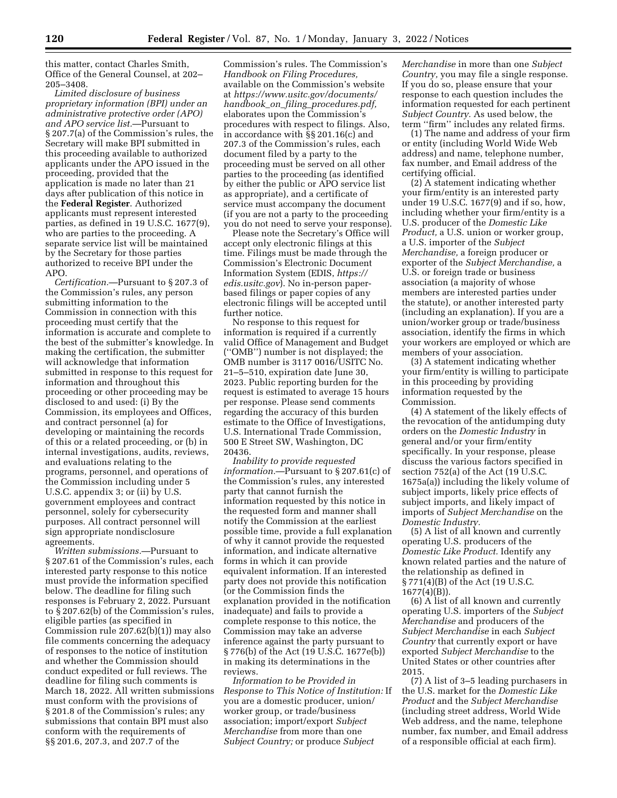this matter, contact Charles Smith, Office of the General Counsel, at 202– 205–3408.

*Limited disclosure of business proprietary information (BPI) under an administrative protective order (APO) and APO service list.*—Pursuant to § 207.7(a) of the Commission's rules, the Secretary will make BPI submitted in this proceeding available to authorized applicants under the APO issued in the proceeding, provided that the application is made no later than 21 days after publication of this notice in the **Federal Register**. Authorized applicants must represent interested parties, as defined in 19 U.S.C. 1677(9), who are parties to the proceeding. A separate service list will be maintained by the Secretary for those parties authorized to receive BPI under the APO.

*Certification.*—Pursuant to § 207.3 of the Commission's rules, any person submitting information to the Commission in connection with this proceeding must certify that the information is accurate and complete to the best of the submitter's knowledge. In making the certification, the submitter will acknowledge that information submitted in response to this request for information and throughout this proceeding or other proceeding may be disclosed to and used: (i) By the Commission, its employees and Offices, and contract personnel (a) for developing or maintaining the records of this or a related proceeding, or (b) in internal investigations, audits, reviews, and evaluations relating to the programs, personnel, and operations of the Commission including under 5 U.S.C. appendix 3; or (ii) by U.S. government employees and contract personnel, solely for cybersecurity purposes. All contract personnel will sign appropriate nondisclosure agreements.

*Written submissions.*—Pursuant to § 207.61 of the Commission's rules, each interested party response to this notice must provide the information specified below. The deadline for filing such responses is February 2, 2022. Pursuant to § 207.62(b) of the Commission's rules, eligible parties (as specified in Commission rule 207.62(b)(1)) may also file comments concerning the adequacy of responses to the notice of institution and whether the Commission should conduct expedited or full reviews. The deadline for filing such comments is March 18, 2022. All written submissions must conform with the provisions of § 201.8 of the Commission's rules; any submissions that contain BPI must also conform with the requirements of §§ 201.6, 207.3, and 207.7 of the

Commission's rules. The Commission's *Handbook on Filing Procedures,*  available on the Commission's website at *https://www.usitc.gov/documents/ handbook*\_*on*\_*filing*\_*procedures.pdf,*  elaborates upon the Commission's procedures with respect to filings. Also, in accordance with §§ 201.16(c) and 207.3 of the Commission's rules, each document filed by a party to the proceeding must be served on all other parties to the proceeding (as identified by either the public or APO service list as appropriate), and a certificate of service must accompany the document (if you are not a party to the proceeding you do not need to serve your response).

Please note the Secretary's Office will accept only electronic filings at this time. Filings must be made through the Commission's Electronic Document Information System (EDIS, *https:// edis.usitc.gov*). No in-person paperbased filings or paper copies of any electronic filings will be accepted until further notice.

No response to this request for information is required if a currently valid Office of Management and Budget (''OMB'') number is not displayed; the OMB number is 3117 0016/USITC No. 21–5–510, expiration date June 30, 2023. Public reporting burden for the request is estimated to average 15 hours per response. Please send comments regarding the accuracy of this burden estimate to the Office of Investigations, U.S. International Trade Commission, 500 E Street SW, Washington, DC 20436.

*Inability to provide requested information.*—Pursuant to § 207.61(c) of the Commission's rules, any interested party that cannot furnish the information requested by this notice in the requested form and manner shall notify the Commission at the earliest possible time, provide a full explanation of why it cannot provide the requested information, and indicate alternative forms in which it can provide equivalent information. If an interested party does not provide this notification (or the Commission finds the explanation provided in the notification inadequate) and fails to provide a complete response to this notice, the Commission may take an adverse inference against the party pursuant to § 776(b) of the Act (19 U.S.C. 1677e(b)) in making its determinations in the reviews.

*Information to be Provided in Response to This Notice of Institution:* If you are a domestic producer, union/ worker group, or trade/business association; import/export *Subject Merchandise* from more than one *Subject Country;* or produce *Subject* 

*Merchandise* in more than one *Subject Country,* you may file a single response. If you do so, please ensure that your response to each question includes the information requested for each pertinent *Subject Country.* As used below, the term ''firm'' includes any related firms.

(1) The name and address of your firm or entity (including World Wide Web address) and name, telephone number, fax number, and Email address of the certifying official.

(2) A statement indicating whether your firm/entity is an interested party under 19 U.S.C. 1677(9) and if so, how, including whether your firm/entity is a U.S. producer of the *Domestic Like Product,* a U.S. union or worker group, a U.S. importer of the *Subject Merchandise,* a foreign producer or exporter of the *Subject Merchandise,* a U.S. or foreign trade or business association (a majority of whose members are interested parties under the statute), or another interested party (including an explanation). If you are a union/worker group or trade/business association, identify the firms in which your workers are employed or which are members of your association.

(3) A statement indicating whether your firm/entity is willing to participate in this proceeding by providing information requested by the Commission.

(4) A statement of the likely effects of the revocation of the antidumping duty orders on the *Domestic Industry* in general and/or your firm/entity specifically. In your response, please discuss the various factors specified in section 752(a) of the Act (19 U.S.C. 1675a(a)) including the likely volume of subject imports, likely price effects of subject imports, and likely impact of imports of *Subject Merchandise* on the *Domestic Industry.* 

(5) A list of all known and currently operating U.S. producers of the *Domestic Like Product.* Identify any known related parties and the nature of the relationship as defined in § 771(4)(B) of the Act (19 U.S.C. 1677(4)(B)).

(6) A list of all known and currently operating U.S. importers of the *Subject Merchandise* and producers of the *Subject Merchandise* in each *Subject Country* that currently export or have exported *Subject Merchandise* to the United States or other countries after 2015.

(7) A list of 3–5 leading purchasers in the U.S. market for the *Domestic Like Product* and the *Subject Merchandise*  (including street address, World Wide Web address, and the name, telephone number, fax number, and Email address of a responsible official at each firm).